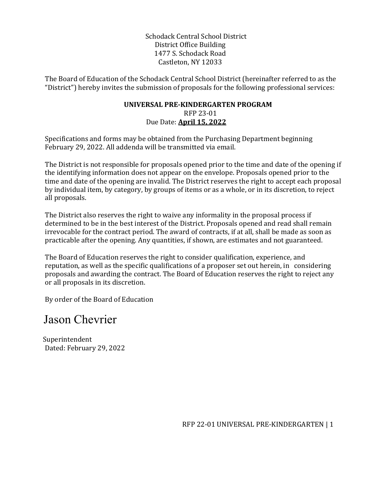Schodack Central School District District Office Building 1477 S. Schodack Road Castleton, NY 12033

The Board of Education of the Schodack Central School District (hereinafter referred to as the "District") hereby invites the submission of proposals for the following professional services:

#### **UNIVERSAL PRE-KINDERGARTEN PROGRAM**  RFP 23-01 Due Date: **April 15, 2022**

Specifications and forms may be obtained from the Purchasing Department beginning February 29, 2022. All addenda will be transmitted via email.

The District is not responsible for proposals opened prior to the time and date of the opening if the identifying information does not appear on the envelope. Proposals opened prior to the time and date of the opening are invalid. The District reserves the right to accept each proposal by individual item, by category, by groups of items or as a whole, or in its discretion, to reject all proposals.

The District also reserves the right to waive any informality in the proposal process if determined to be in the best interest of the District. Proposals opened and read shall remain irrevocable for the contract period. The award of contracts, if at all, shall be made as soon as practicable after the opening. Any quantities, if shown, are estimates and not guaranteed.

The Board of Education reserves the right to consider qualification, experience, and reputation, as well as the specific qualifications of a proposer set out herein, in considering proposals and awarding the contract. The Board of Education reserves the right to reject any or all proposals in its discretion.

By order of the Board of Education

# Jason Chevrier

 Superintendent Dated: February 29, 2022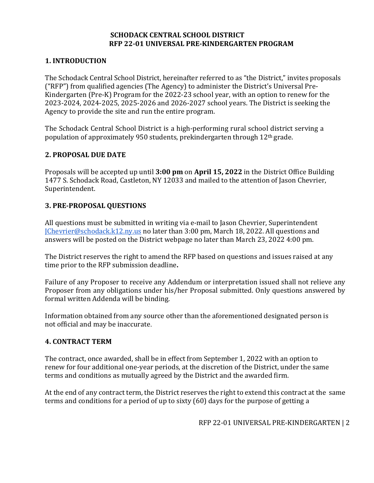#### **SCHODACK CENTRAL SCHOOL DISTRICT RFP 22-01 UNIVERSAL PRE-KINDERGARTEN PROGRAM**

# **1. INTRODUCTION**

The Schodack Central School District, hereinafter referred to as "the District," invites proposals ("RFP") from qualified agencies (The Agency) to administer the District's Universal Pre-Kindergarten (Pre-K) Program for the 2022-23 school year, with an option to renew for the 2023-2024, 2024-2025, 2025-2026 and 2026-2027 school years. The District is seeking the Agency to provide the site and run the entire program.

The Schodack Central School District is a high-performing rural school district serving a population of approximately 950 students, prekindergarten through 12th grade.

#### **2. PROPOSAL DUE DATE**

Proposals will be accepted up until **3:00 pm** on **April 15, 2022** in the District Office Building 1477 S. Schodack Road, Castleton, NY 12033 and mailed to the attention of Jason Chevrier, Superintendent.

#### **3. PRE-PROPOSAL QUESTIONS**

All questions must be submitted in writing via e-mail to Jason Chevrier, Superintendent [JChevrier@schodack.k12.ny.us](mailto:JChevrier@schodack.k12.ny.us) no later than 3:00 pm, March 18, 2022. All questions and answers will be posted on the District webpage no later than March 23, 2022 4:00 pm.

The District reserves the right to amend the RFP based on questions and issues raised at any time prior to the RFP submission deadline**.** 

Failure of any Proposer to receive any Addendum or interpretation issued shall not relieve any Proposer from any obligations under his/her Proposal submitted. Only questions answered by formal written Addenda will be binding.

Information obtained from any source other than the aforementioned designated person is not official and may be inaccurate.

# **4. CONTRACT TERM**

The contract, once awarded, shall be in effect from September 1, 2022 with an option to renew for four additional one-year periods, at the discretion of the District, under the same terms and conditions as mutually agreed by the District and the awarded firm.

At the end of any contract term, the District reserves the right to extend this contract at the same terms and conditions for a period of up to sixty (60) days for the purpose of getting a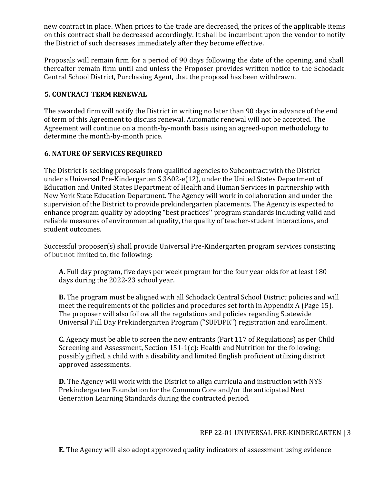new contract in place. When prices to the trade are decreased, the prices of the applicable items on this contract shall be decreased accordingly. It shall be incumbent upon the vendor to notify the District of such decreases immediately after they become effective.

Proposals will remain firm for a period of 90 days following the date of the opening, and shall thereafter remain firm until and unless the Proposer provides written notice to the Schodack Central School District, Purchasing Agent, that the proposal has been withdrawn.

# **5. CONTRACT TERM RENEWAL**

The awarded firm will notify the District in writing no later than 90 days in advance of the end of term of this Agreement to discuss renewal. Automatic renewal will not be accepted. The Agreement will continue on a month-by-month basis using an agreed-upon methodology to determine the month-by-month price.

#### **6. NATURE OF SERVICES REQUIRED**

The District is seeking proposals from qualified agencies to Subcontract with the District under a Universal Pre-Kindergarten S 3602-e(12), under the United States Department of Education and United States Department of Health and Human Services in partnership with New York State Education Department. The Agency will work in collaboration and under the supervision of the District to provide prekindergarten placements. The Agency is expected to enhance program quality by adopting "best practices'' program standards including valid and reliable measures of environmental quality, the quality of teacher-student interactions, and student outcomes.

Successful proposer(s) shall provide Universal Pre-Kindergarten program services consisting of but not limited to, the following:

**A.** Full day program, five days per week program for the four year olds for at least 180 days during the 2022-23 school year.

**B.** The program must be aligned with all Schodack Central School District policies and will meet the requirements of the policies and procedures set forth in Appendix A (Page 15). The proposer will also follow all the regulations and policies regarding Statewide Universal Full Day Prekindergarten Program ("SUFDPK") registration and enrollment.

**C.** Agency must be able to screen the new entrants (Part 117 of Regulations) as per Child Screening and Assessment, Section 151-1(c): Health and Nutrition for the following; possibly gifted, a child with a disability and limited English proficient utilizing district approved assessments.

**D.** The Agency will work with the District to align curricula and instruction with NYS Prekindergarten Foundation for the Common Core and/or the anticipated Next Generation Learning Standards during the contracted period.

#### RFP 22-01 UNIVERSAL PRE-KINDERGARTEN | 3

**E.** The Agency will also adopt approved quality indicators of assessment using evidence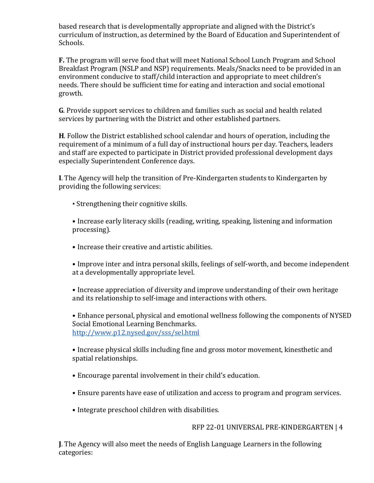based research that is developmentally appropriate and aligned with the District's curriculum of instruction, as determined by the Board of Education and Superintendent of Schools.

**F.** The program will serve food that will meet National School Lunch Program and School Breakfast Program (NSLP and NSP) requirements. Meals/Snacks need to be provided in an environment conducive to staff/child interaction and appropriate to meet children's needs. There should be sufficient time for eating and interaction and social emotional growth.

**G**. Provide support services to children and families such as social and health related services by partnering with the District and other established partners.

**H**. Follow the District established school calendar and hours of operation, including the requirement of a minimum of a full day of instructional hours per day. Teachers, leaders and staff are expected to participate in District provided professional development days especially Superintendent Conference days.

**I**. The Agency will help the transition of Pre-Kindergarten students to Kindergarten by providing the following services:

• Strengthening their cognitive skills.

• Increase early literacy skills (reading, writing, speaking, listening and information processing).

• Increase their creative and artistic abilities.

• Improve inter and intra personal skills, feelings of self-worth, and become independent at a developmentally appropriate level.

• Increase appreciation of diversity and improve understanding of their own heritage and its relationship to self-image and interactions with others.

• Enhance personal, physical and emotional wellness following the components of NYSED Social Emotional Learning Benchmarks. <http://www.p12.nysed.gov/sss/sel.html>

• Increase physical skills including fine and gross motor movement, kinesthetic and spatial relationships.

- Encourage parental involvement in their child's education.
- Ensure parents have ease of utilization and access to program and program services.
- Integrate preschool children with disabilities.

#### RFP 22-01 UNIVERSAL PRE-KINDERGARTEN | 4

**J**. The Agency will also meet the needs of English Language Learners in the following categories: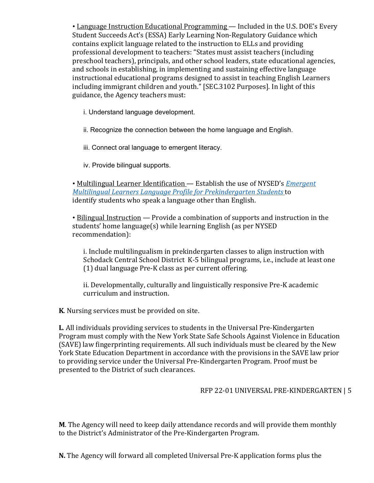• Language Instruction Educational Programming — Included in the U.S. DOE's Every Student Succeeds Act's (ESSA) Early Learning Non-Regulatory Guidance which contains explicit language related to the instruction to ELLs and providing professional development to teachers: "States must assist teachers (including preschool teachers), principals, and other school leaders, state educational agencies, and schools in establishing, in implementing and sustaining effective language instructional educational programs designed to assist in teaching English Learners including immigrant children and youth." [SEC.3102 Purposes]. In light of this guidance, the Agency teachers must:

i. Understand language development.

ii. Recognize the connection between the home language and English.

iii. Connect oral language to emergent literacy.

iv. Provide bilingual supports.

• Multilingual Learner Identification — Establish the use of NYSED's *Emergent Multilingual Learners Language Profile for Prekindergarten Students* to identify students who speak a language other than English.

• Bilingual Instruction — Provide a combination of supports and instruction in the students' home language(s) while learning English (as per NYSED recommendation):

i. Include multilingualism in prekindergarten classes to align instruction with Schodack Central School District K-5 bilingual programs, i.e., include at least one (1) dual language Pre-K class as per current offering.

ii. Developmentally, culturally and linguistically responsive Pre-K academic curriculum and instruction.

**K**. Nursing services must be provided on site.

**L**. All individuals providing services to students in the Universal Pre-Kindergarten Program must comply with the New York State Safe Schools Against Violence in Education (SAVE) law fingerprinting requirements. All such individuals must be cleared by the New York State Education Department in accordance with the provisions in the SAVE law prior to providing service under the Universal Pre-Kindergarten Program. Proof must be presented to the District of such clearances.

# RFP 22-01 UNIVERSAL PRE-KINDERGARTEN | 5

**M**. The Agency will need to keep daily attendance records and will provide them monthly to the District's Administrator of the Pre-Kindergarten Program.

**N.** The Agency will forward all completed Universal Pre-K application forms plus the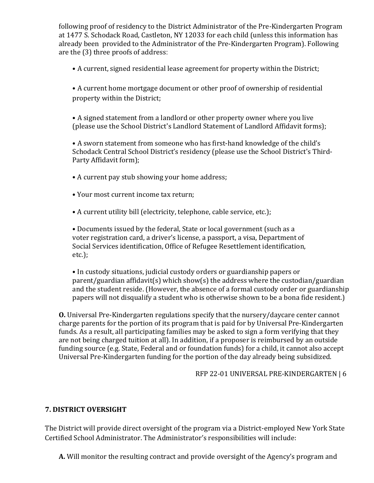following proof of residency to the District Administrator of the Pre-Kindergarten Program at 1477 S. Schodack Road, Castleton, NY 12033 for each child (unless this information has already been provided to the Administrator of the Pre-Kindergarten Program). Following are the (3) three proofs of address:

• A current, signed residential lease agreement for property within the District;

• A current home mortgage document or other proof of ownership of residential property within the District;

• A signed statement from a landlord or other property owner where you live (please use the School District's Landlord Statement of Landlord Affidavit forms);

• A sworn statement from someone who has first-hand knowledge of the child's Schodack Central School District's residency (please use the School District's Third-Party Affidavit form);

- A current pay stub showing your home address;
- Your most current income tax return;
- A current utility bill (electricity, telephone, cable service, etc.);

• Documents issued by the federal, State or local government (such as a voter registration card, a driver's license, a passport, a visa, Department of Social Services identification, Office of Refugee Resettlement identification, etc.);

• In custody situations, judicial custody orders or guardianship papers or parent/guardian affidavit(s) which show(s) the address where the custodian/guardian and the student reside. (However, the absence of a formal custody order or guardianship papers will not disqualify a student who is otherwise shown to be a bona fide resident.)

**O.** Universal Pre-Kindergarten regulations specify that the nursery/daycare center cannot charge parents for the portion of its program that is paid for by Universal Pre-Kindergarten funds. As a result, all participating families may be asked to sign a form verifying that they are not being charged tuition at all). In addition, if a proposer is reimbursed by an outside funding source (e.g. State, Federal and or foundation funds) for a child, it cannot also accept Universal Pre-Kindergarten funding for the portion of the day already being subsidized.

RFP 22-01 UNIVERSAL PRE-KINDERGARTEN | 6

# **7. DISTRICT OVERSIGHT**

The District will provide direct oversight of the program via a District-employed New York State Certified School Administrator. The Administrator's responsibilities will include:

**A.** Will monitor the resulting contract and provide oversight of the Agency's program and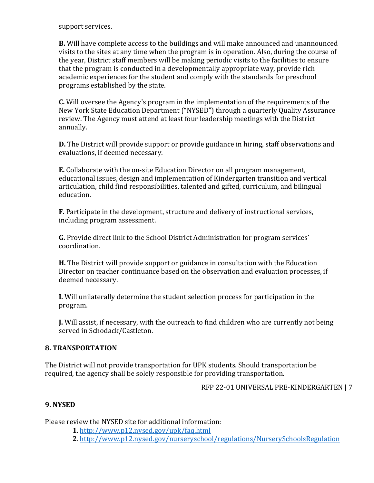support services.

**B.** Will have complete access to the buildings and will make announced and unannounced visits to the sites at any time when the program is in operation. Also, during the course of the year, District staff members will be making periodic visits to the facilities to ensure that the program is conducted in a developmentally appropriate way, provide rich academic experiences for the student and comply with the standards for preschool programs established by the state.

**C.** Will oversee the Agency's program in the implementation of the requirements of the New York State Education Department ("NYSED") through a quarterly Quality Assurance review. The Agency must attend at least four leadership meetings with the District annually.

**D.** The District will provide support or provide guidance in hiring, staff observations and evaluations, if deemed necessary.

**E.** Collaborate with the on-site Education Director on all program management, educational issues, design and implementation of Kindergarten transition and vertical articulation, child find responsibilities, talented and gifted, curriculum, and bilingual education.

**F.** Participate in the development, structure and delivery of instructional services, including program assessment.

**G.** Provide direct link to the School District Administration for program services' coordination.

**H.** The District will provide support or guidance in consultation with the Education Director on teacher continuance based on the observation and evaluation processes, if deemed necessary.

**I.** Will unilaterally determine the student selection process for participation in the program.

**J.** Will assist, if necessary, with the outreach to find children who are currently not being served in Schodack/Castleton.

#### **8. TRANSPORTATION**

The District will not provide transportation for UPK students. Should transportation be required, the agency shall be solely responsible for providing transportation.

RFP 22-01 UNIVERSAL PRE-KINDERGARTEN | 7

#### **9. NYSED**

Please review the NYSED site for additional information:

**1**. http://www.p12.nysed.gov/upk/faq.html

**2**. http://www.p12.nysed.gov/nurseryschool/regulations/NurserySchoolsRegulation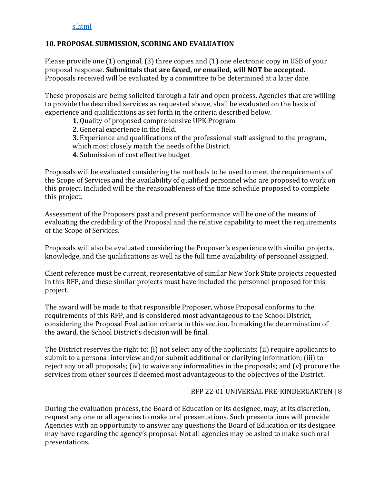# **10. PROPOSAL SUBMISSION, SCORING AND EVALUATION**

Please provide one (1) original, (3) three copies and (1) one electronic copy in USB of your proposal response. **Submittals that are faxed, or emailed, will NOT be accepted.**  Proposals received will be evaluated by a committee to be determined at a later date.

These proposals are being solicited through a fair and open process. Agencies that are willing to provide the described services as requested above, shall be evaluated on the basis of experience and qualifications as set forth in the criteria described below.

- **1**. Quality of proposed comprehensive UPK Program
- **2**. General experience in the field.
- **3**. Experience and qualifications of the professional staff assigned to the program, which most closely match the needs of the District.
- **4**. Submission of cost effective budget

Proposals will be evaluated considering the methods to be used to meet the requirements of the Scope of Services and the availability of qualified personnel who are proposed to work on this project. Included will be the reasonableness of the time schedule proposed to complete this project.

Assessment of the Proposers past and present performance will be one of the means of evaluating the credibility of the Proposal and the relative capability to meet the requirements of the Scope of Services.

Proposals will also be evaluated considering the Proposer's experience with similar projects, knowledge, and the qualifications as well as the full time availability of personnel assigned.

Client reference must be current, representative of similar New York State projects requested in this RFP, and these similar projects must have included the personnel proposed for this project.

The award will be made to that responsible Proposer, whose Proposal conforms to the requirements of this RFP, and is considered most advantageous to the School District, considering the Proposal Evaluation criteria in this section. In making the determination of the award, the School District's decision will be final.

The District reserves the right to: (i) not select any of the applicants; (ii) require applicants to submit to a personal interview and/or submit additional or clarifying information; (iii) to reject any or all proposals; (iv) to waive any informalities in the proposals; and (v) procure the services from other sources if deemed most advantageous to the objectives of the District.

#### RFP 22-01 UNIVERSAL PRE-KINDERGARTEN | 8

During the evaluation process, the Board of Education or its designee, may, at its discretion, request any one or all agencies to make oral presentations. Such presentations will provide Agencies with an opportunity to answer any questions the Board of Education or its designee may have regarding the agency's proposal. Not all agencies may be asked to make such oral presentations.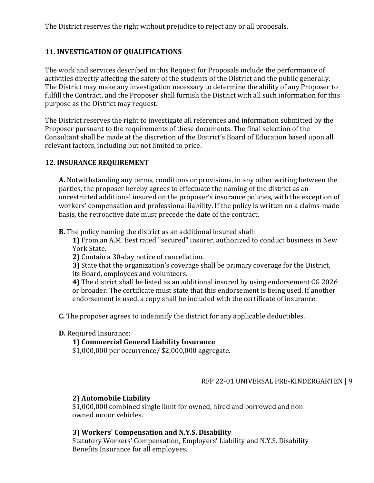The District reserves the right without prejudice to reject any or all proposals.

# **11. INVESTIGATION OF QUALIFICATIONS**

The work and services described in this Request for Proposals include the performance of activities directly affecting the safety of the students of the District and the public generally. The District may make any investigation necessary to determine the ability of any Proposer to fulfill the Contract, and the Proposer shall furnish the District with all such information for this purpose as the District may request.

The District reserves the right to investigate all references and information submitted by the Proposer pursuant to the requirements of these documents. The final selection of the Consultant shall be made at the discretion of the District's Board of Education based upon all relevant factors, including but not limited to price.

#### **12. INSURANCE REQUIREMENT**

**A.** Notwithstanding any terms, conditions or provisions, in any other writing between the parties, the proposer hereby agrees to effectuate the naming of the district as an unrestricted additional insured on the proposer's insurance policies, with the exception of workers' compensation and professional liability. If the policy is written on a claims-made basis, the retroactive date must precede the date of the contract.

**B.** The policy naming the district as an additional insured shall:

**1)** From an A.M. Best rated "secured" insurer, authorized to conduct business in New York State.

**2)** Contain a 30-day notice of cancellation.

**3)** State that the organization's coverage shall be primary coverage for the District,

its Board, employees and volunteers.

**4)** The district shall be listed as an additional insured by using endorsement CG 2026 or broader. The certificate must state that this endorsement is being used. If another endorsement is used, a copy shall be included with the certificate of insurance.

**C.** The proposer agrees to indemnify the district for any applicable deductibles.

**D.** Required Insurance:

# **1) Commercial General Liability Insurance**

\$1,000,000 per occurrence/ \$2,000,000 aggregate.

# RFP 22-01 UNIVERSAL PRE-KINDERGARTEN | 9

# **2) Automobile Liability**

\$1,000,000 combined single limit for owned, hired and borrowed and nonowned motor vehicles.

# **3) Workers' Compensation and N.Y.S. Disability**

Statutory Workers' Compensation, Employers' Liability and N.Y.S. Disability Benefits Insurance for all employees.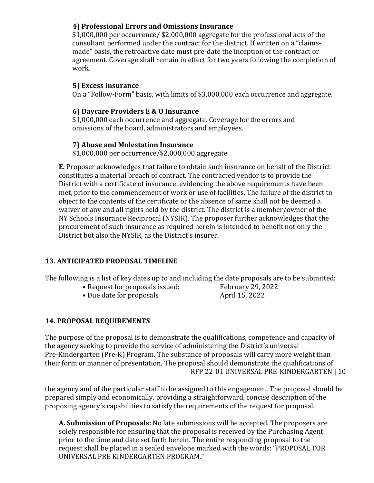#### **4) Professional Errors and Omissions Insurance**

\$1,000,000 per occurrence/ \$2,000,000 aggregate for the professional acts of the consultant performed under the contract for the district. If written on a "claimsmade" basis, the retroactive date must pre-date the inception of the contract or agreement. Coverage shall remain in effect for two years following the completion of work.

#### **5) Excess Insurance**

On a "Follow-Form" basis, with limits of \$3,000,000 each occurrence and aggregate.

#### **6) Daycare Providers E & O Insurance**

\$1,000,000 each occurrence and aggregate. Coverage for the errors and omissions of the board, administrators and employees.

#### **7) Abuse and Molestation Insurance**

\$1,000,000 per occurrence/\$2,000,000 aggregate

**E.** Proposer acknowledges that failure to obtain such insurance on behalf of the District constitutes a material breach of contract. The contracted vendor is to provide the District with a certificate of insurance, evidencing the above requirements have been met, prior to the commencement of work or use of facilities. The failure of the district to object to the contents of the certificate or the absence of same shall not be deemed a waiver of any and all rights held by the district. The district is a member/owner of the NY Schools Insurance Reciprocal (NYSIR). The proposer further acknowledges that the procurement of such insurance as required herein is intended to benefit not only the District but also the NYSIR, as the District's insurer.

#### **13. ANTICIPATED PROPOSAL TIMELINE**

The following is a list of key dates up to and including the date proposals are to be submitted:<br>• Request for proposals issued: February 29, 2022

- 
- Due date for proposals

• Request for proposals issued: February 29, 2<br>• Due date for proposals April 15, 2022

# **14. PROPOSAL REQUIREMENTS**

The purpose of the proposal is to demonstrate the qualifications, competence and capacity of the agency seeking to provide the service of administering the District's universal Pre-Kindergarten (Pre-K) Program. The substance of proposals will carry more weight than their form or manner of presentation. The proposal should demonstrate the qualifications of RFP 22-01 UNIVERSAL PRE-KINDERGARTEN | 10

the agency and of the particular staff to be assigned to this engagement. The proposal should be prepared simply and economically, providing a straightforward, concise description of the proposing agency's capabilities to satisfy the requirements of the request for proposal.

**A. Submission of Proposals:** No late submissions will be accepted. The proposers are solely responsible for ensuring that the proposal is received by the Purchasing Agent prior to the time and date set forth herein. The entire responding proposal to the request shall be placed in a sealed envelope marked with the words: "PROPOSAL FOR UNIVERSAL PRE KINDERGARTEN PROGRAM."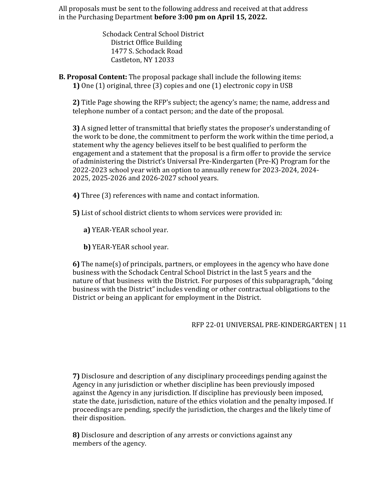All proposals must be sent to the following address and received at that address in the Purchasing Department **before 3:00 pm on April 15, 2022.** 

> Schodack Central School District District Office Building 1477 S. Schodack Road Castleton, NY 12033

**B. Proposal Content:** The proposal package shall include the following items: **1)** One (1) original, three (3) copies and one (1) electronic copy in USB

**2)** Title Page showing the RFP's subject; the agency's name; the name, address and telephone number of a contact person; and the date of the proposal.

**3)** A signed letter of transmittal that briefly states the proposer's understanding of the work to be done, the commitment to perform the work within the time period, a statement why the agency believes itself to be best qualified to perform the engagement and a statement that the proposal is a firm offer to provide the service of administering the District's Universal Pre-Kindergarten (Pre-K) Program for the 2022-2023 school year with an option to annually renew for 2023-2024, 2024- 2025, 2025-2026 and 2026-2027 school years.

**4)** Three (3) references with name and contact information.

**5)** List of school district clients to whom services were provided in:

- **a)** YEAR-YEAR school year.
- **b)** YEAR-YEAR school year.

**6)** The name(s) of principals, partners, or employees in the agency who have done business with the Schodack Central School District in the last 5 years and the nature of that business with the District. For purposes of this subparagraph, "doing business with the District" includes vending or other contractual obligations to the District or being an applicant for employment in the District.

# RFP 22-01 UNIVERSAL PRE-KINDERGARTEN | 11

**7)** Disclosure and description of any disciplinary proceedings pending against the Agency in any jurisdiction or whether discipline has been previously imposed against the Agency in any jurisdiction. If discipline has previously been imposed, state the date, jurisdiction, nature of the ethics violation and the penalty imposed. If proceedings are pending, specify the jurisdiction, the charges and the likely time of their disposition.

**8)** Disclosure and description of any arrests or convictions against any members of the agency.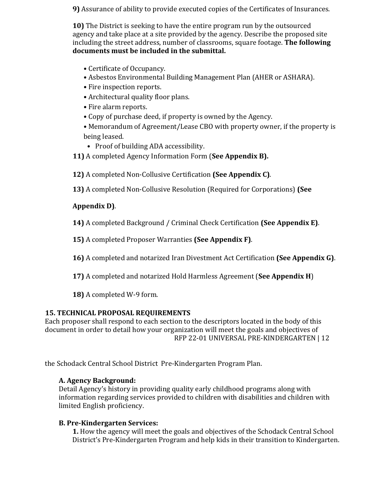**9)** Assurance of ability to provide executed copies of the Certificates of Insurances.

**10)** The District is seeking to have the entire program run by the outsourced agency and take place at a site provided by the agency. Describe the proposed site including the street address, number of classrooms, square footage. **The following documents must be included in the submittal.** 

- Certificate of Occupancy.
- Asbestos Environmental Building Management Plan (AHER or ASHARA).
- Fire inspection reports.
- Architectural quality floor plans.
- Fire alarm reports.
- Copy of purchase deed, if property is owned by the Agency.

• Memorandum of Agreement/Lease CBO with property owner, if the property is being leased.

- Proof of building ADA accessibility.
- **11)** A completed Agency Information Form (**See Appendix B).**

**12)** A completed Non-Collusive Certification **(See Appendix C)**.

**13)** A completed Non-Collusive Resolution (Required for Corporations) **(See** 

# **Appendix D)**.

**14)** A completed Background / Criminal Check Certification **(See Appendix E)**.

**15)** A completed Proposer Warranties **(See Appendix F)**.

**16)** A completed and notarized Iran Divestment Act Certification **(See Appendix G)**.

**17)** A completed and notarized Hold Harmless Agreement (**See Appendix H**)

**18)** A completed W-9 form.

# **15. TECHNICAL PROPOSAL REQUIREMENTS**

Each proposer shall respond to each section to the descriptors located in the body of this document in order to detail how your organization will meet the goals and objectives of RFP 22-01 UNIVERSAL PRE-KINDERGARTEN | 12

the Schodack Central School District Pre-Kindergarten Program Plan.

# **A. Agency Background:**

Detail Agency's history in providing quality early childhood programs along with information regarding services provided to children with disabilities and children with limited English proficiency.

# **B. Pre-Kindergarten Services:**

**1.** How the agency will meet the goals and objectives of the Schodack Central School District's Pre-Kindergarten Program and help kids in their transition to Kindergarten.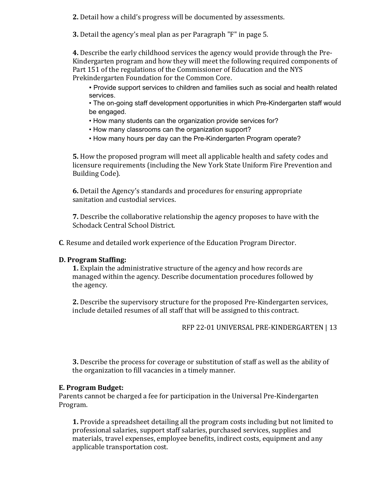**2.** Detail how a child's progress will be documented by assessments.

**3.** Detail the agency's meal plan as per Paragraph "F" in page 5.

**4.** Describe the early childhood services the agency would provide through the Pre-Kindergarten program and how they will meet the following required components of Part 151 of the regulations of the Commissioner of Education and the NYS Prekindergarten Foundation for the Common Core.

• Provide support services to children and families such as social and health related services.

• The on-going staff development opportunities in which Pre-Kindergarten staff would be engaged.

- How many students can the organization provide services for?
- How many classrooms can the organization support?
- How many hours per day can the Pre-Kindergarten Program operate?

**5.** How the proposed program will meet all applicable health and safety codes and licensure requirements (including the New York State Uniform Fire Prevention and Building Code).

**6.** Detail the Agency's standards and procedures for ensuring appropriate sanitation and custodial services.

**7.** Describe the collaborative relationship the agency proposes to have with the Schodack Central School District.

**C**. Resume and detailed work experience of the Education Program Director.

# **D. Program Staffing:**

**1.** Explain the administrative structure of the agency and how records are managed within the agency. Describe documentation procedures followed by the agency.

**2.** Describe the supervisory structure for the proposed Pre-Kindergarten services, include detailed resumes of all staff that will be assigned to this contract.

RFP 22-01 UNIVERSAL PRE-KINDERGARTEN | 13

**3.** Describe the process for coverage or substitution of staff as well as the ability of the organization to fill vacancies in a timely manner.

# **E. Program Budget:**

Parents cannot be charged a fee for participation in the Universal Pre-Kindergarten Program.

**1.** Provide a spreadsheet detailing all the program costs including but not limited to professional salaries, support staff salaries, purchased services, supplies and materials, travel expenses, employee benefits, indirect costs, equipment and any applicable transportation cost.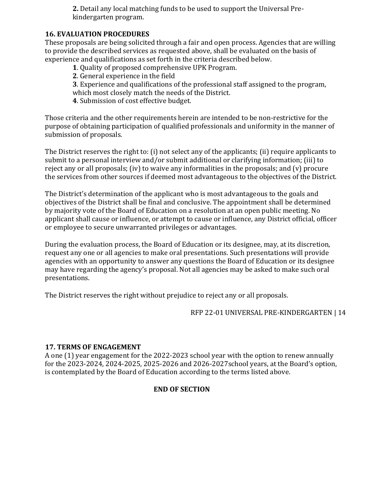**2.** Detail any local matching funds to be used to support the Universal Prekindergarten program.

#### **16. EVALUATION PROCEDURES**

These proposals are being solicited through a fair and open process. Agencies that are willing to provide the described services as requested above, shall be evaluated on the basis of experience and qualifications as set forth in the criteria described below.

- **1**. Quality of proposed comprehensive UPK Program.
- **2**. General experience in the field
- **3**. Experience and qualifications of the professional staff assigned to the program,
- which most closely match the needs of the District.
- **4**. Submission of cost effective budget.

Those criteria and the other requirements herein are intended to be non-restrictive for the purpose of obtaining participation of qualified professionals and uniformity in the manner of submission of proposals.

The District reserves the right to: (i) not select any of the applicants; (ii) require applicants to submit to a personal interview and/or submit additional or clarifying information; (iii) to reject any or all proposals; (iv) to waive any informalities in the proposals; and (v) procure the services from other sources if deemed most advantageous to the objectives of the District.

The District's determination of the applicant who is most advantageous to the goals and objectives of the District shall be final and conclusive. The appointment shall be determined by majority vote of the Board of Education on a resolution at an open public meeting. No applicant shall cause or influence, or attempt to cause or influence, any District official, officer or employee to secure unwarranted privileges or advantages.

During the evaluation process, the Board of Education or its designee, may, at its discretion, request any one or all agencies to make oral presentations. Such presentations will provide agencies with an opportunity to answer any questions the Board of Education or its designee may have regarding the agency's proposal. Not all agencies may be asked to make such oral presentations.

The District reserves the right without prejudice to reject any or all proposals.

#### RFP 22-01 UNIVERSAL PRE-KINDERGARTEN | 14

#### **17. TERMS OF ENGAGEMENT**

A one (1) year engagement for the 2022-2023 school year with the option to renew annually for the 2023-2024, 2024-2025, 2025-2026 and 2026-2027school years, at the Board's option, is contemplated by the Board of Education according to the terms listed above.

# **END OF SECTION**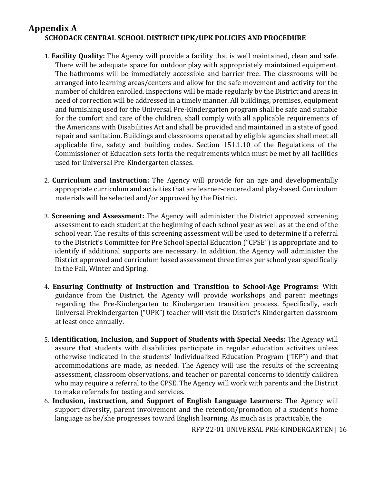# **Appendix A SCHODACK CENTRAL SCHOOL DISTRICT UPK/UPK POLICIES AND PROCEDURE**

- 1. **Facility Quality:** The Agency will provide a facility that is well maintained, clean and safe. There will be adequate space for outdoor play with appropriately maintained equipment. The bathrooms will be immediately accessible and barrier free. The classrooms will be arranged into learning areas/centers and allow for the safe movement and activity for the number of children enrolled. Inspections will be made regularly by the District and areas in need of correction will be addressed in a timely manner. All buildings, premises, equipment and furnishing used for the Universal Pre-Kindergarten program shall be safe and suitable for the comfort and care of the children, shall comply with all applicable requirements of the Americans with Disabilities Act and shall be provided and maintained in a state of good repair and sanitation. Buildings and classrooms operated by eligible agencies shall meet all applicable fire, safety and building codes. Section 151.1.10 of the Regulations of the Commissioner of Education sets forth the requirements which must be met by all facilities used for Universal Pre-Kindergarten classes.
- 2. **Curriculum and Instruction:** The Agency will provide for an age and developmentally appropriate curriculum and activities that are learner-centered and play-based. Curriculum materials will be selected and/or approved by the District.
- 3. **Screening and Assessment:** The Agency will administer the District approved screening assessment to each student at the beginning of each school year as well as at the end of the school year. The results of this screening assessment will be used to determine if a referral to the District's Committee for Pre School Special Education ("CPSE") is appropriate and to identify if additional supports are necessary. In addition, the Agency will administer the District approved and curriculum based assessment three times per school year specifically in the Fall, Winter and Spring.
- 4. **Ensuring Continuity of Instruction and Transition to School-Age Programs:** With guidance from the District, the Agency will provide workshops and parent meetings regarding the Pre-Kindergarten to Kindergarten transition process. Specifically, each Universal Prekindergarten ("UPK") teacher will visit the District's Kindergarten classroom at least once annually.
- 5. **Identification, Inclusion, and Support of Students with Special Needs:** The Agency will assure that students with disabilities participate in regular education activities unless otherwise indicated in the students' Individualized Education Program ("IEP") and that accommodations are made, as needed. The Agency will use the results of the screening assessment, classroom observations, and teacher or parental concerns to identify children who may require a referral to the CPSE. The Agency will work with parents and the District to make referrals for testing and services.
- 6. **Inclusion, instruction, and Support of English Language Learners:** The Agency will support diversity, parent involvement and the retention/promotion of a student's home language as he/she progresses toward English learning. As much as is practicable, the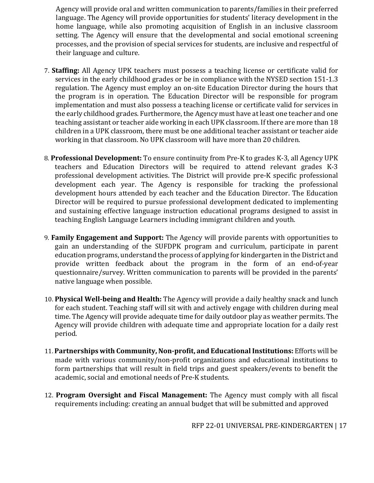Agency will provide oral and written communication to parents/families in their preferred language. The Agency will provide opportunities for students' literacy development in the home language, while also promoting acquisition of English in an inclusive classroom setting. The Agency will ensure that the developmental and social emotional screening processes, and the provision of special services for students, are inclusive and respectful of their language and culture.

- 7. **Staffing:** All Agency UPK teachers must possess a teaching license or certificate valid for services in the early childhood grades or be in compliance with the NYSED section 151-1.3 regulation. The Agency must employ an on-site Education Director during the hours that the program is in operation. The Education Director will be responsible for program implementation and must also possess a teaching license or certificate valid for services in the early childhood grades. Furthermore, the Agency must have at least one teacher and one teaching assistant or teacher aide working in each UPK classroom. If there are more than 18 children in a UPK classroom, there must be one additional teacher assistant or teacher aide working in that classroom. No UPK classroom will have more than 20 children.
- 8. **Professional Development:** To ensure continuity from Pre-K to grades K-3, all Agency UPK teachers and Education Directors will be required to attend relevant grades K-3 professional development activities. The District will provide pre-K specific professional development each year. The Agency is responsible for tracking the professional development hours attended by each teacher and the Education Director. The Education Director will be required to pursue professional development dedicated to implementing and sustaining effective language instruction educational programs designed to assist in teaching English Language Learners including immigrant children and youth.
- 9. **Family Engagement and Support:** The Agency will provide parents with opportunities to gain an understanding of the SUFDPK program and curriculum, participate in parent education programs, understand the process of applying for kindergarten in the District and provide written feedback about the program in the form of an end-of-year questionnaire/survey. Written communication to parents will be provided in the parents' native language when possible.
- 10. **Physical Well-being and Health:** The Agency will provide a daily healthy snack and lunch for each student. Teaching staff will sit with and actively engage with children during meal time. The Agency will provide adequate time for daily outdoor play as weather permits. The Agency will provide children with adequate time and appropriate location for a daily rest period.
- 11. **Partnerships with Community, Non-profit, and Educational Institutions:** Efforts will be made with various community/non-profit organizations and educational institutions to form partnerships that will result in field trips and guest speakers/events to benefit the academic, social and emotional needs of Pre-K students.
- 12. **Program Oversight and Fiscal Management:** The Agency must comply with all fiscal requirements including: creating an annual budget that will be submitted and approved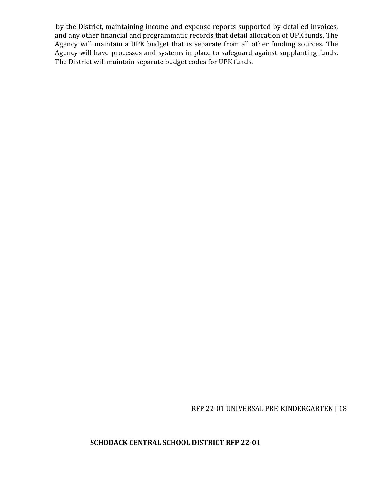by the District, maintaining income and expense reports supported by detailed invoices, and any other financial and programmatic records that detail allocation of UPK funds. The Agency will maintain a UPK budget that is separate from all other funding sources. The Agency will have processes and systems in place to safeguard against supplanting funds. The District will maintain separate budget codes for UPK funds.

RFP 22-01 UNIVERSAL PRE-KINDERGARTEN | 18

**SCHODACK CENTRAL SCHOOL DISTRICT RFP 22-01**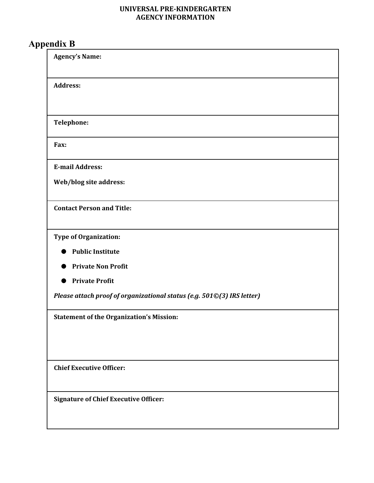#### **UNIVERSAL PRE-KINDERGARTEN AGENCY INFORMATION**

# **Appendix B**

| <b>Agency's Name:</b>                                                  |
|------------------------------------------------------------------------|
| <b>Address:</b>                                                        |
|                                                                        |
| Telephone:                                                             |
| Fax:                                                                   |
| <b>E-mail Address:</b>                                                 |
| Web/blog site address:                                                 |
| <b>Contact Person and Title:</b>                                       |
| Type of Organization:                                                  |
| <b>Public Institute</b>                                                |
| <b>Private Non Profit</b>                                              |
| <b>Private Profit</b>                                                  |
| Please attach proof of organizational status (e.g. 501©(3) IRS letter) |
| <b>Statement of the Organization's Mission:</b>                        |
|                                                                        |
|                                                                        |
| <b>Chief Executive Officer:</b>                                        |
| <b>Signature of Chief Executive Officer:</b>                           |
|                                                                        |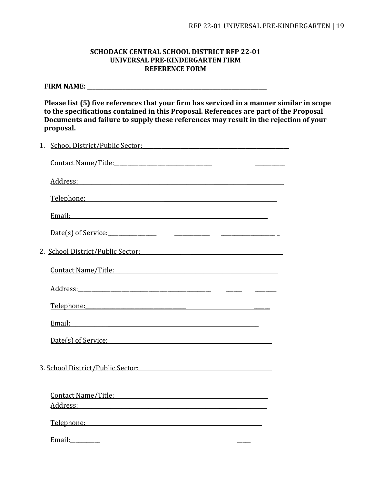#### **SCHODACK CENTRAL SCHOOL DISTRICT RFP 22-01 UNIVERSAL PRE-KINDERGARTEN FIRM REFERENCE FORM**

**FIRM NAME: \_\_\_\_\_\_\_\_\_\_\_\_\_\_\_\_\_\_\_\_\_\_\_\_\_\_\_\_\_\_\_\_\_\_\_\_\_\_\_\_\_\_\_\_\_\_\_\_\_\_\_\_\_\_\_\_\_\_\_\_\_\_\_\_\_\_** 

**Please list (5) five references that your firm has serviced in a manner similar in scope to the specifications contained in this Proposal. References are part of the Proposal Documents and failure to supply these references may result in the rejection of your proposal.** 

| 1. | <u>School District/Public Sector:</u> New York 2014 1996                                                                                                                                                                           |  |
|----|------------------------------------------------------------------------------------------------------------------------------------------------------------------------------------------------------------------------------------|--|
|    | <u>Contact Name/Title:</u>                                                                                                                                                                                                         |  |
|    | Address: Andreas Address Address Address Address Address Address Address Address Address Address Address Address A                                                                                                                 |  |
|    | Telephone: Telephone:                                                                                                                                                                                                              |  |
|    |                                                                                                                                                                                                                                    |  |
|    | Date(s) of Service: National Contract Contract Contract Contract Contract Contract Contract Contract Contract Contract Contract Contract Contract Contract Contract Contract Contract Contract Contract Contract Contract Cont     |  |
|    | 2. School District/Public Sector:                                                                                                                                                                                                  |  |
|    | <u>Contact Name/Title:</u> The Contact Name of Title Contact Name of Title Contact Name of Title Contact Name of Title                                                                                                             |  |
|    |                                                                                                                                                                                                                                    |  |
|    | <u>Telephone:</u> Telephone: Telephone: Telephone: Telephone: Telephone: Telephone: Telephone: Telephone: Telephone: Telephone: Telephone: Telephone: Telephone: Telephone: Telephone: Telephone: Telephone: Telephone: Telephone: |  |
|    | Email: The Commission of the Commission of the Commission of the Commission of the Commission of the Commission                                                                                                                    |  |
|    | Date(s) of Service: Date(s) of Service:                                                                                                                                                                                            |  |
|    | 3. School District/Public Sector:                                                                                                                                                                                                  |  |
|    |                                                                                                                                                                                                                                    |  |
|    | Address: Andress: Address: Address: Address: Address: Address: Address: Address: Address: Address: Address: Address: Address: Address: Address: Address: Address: Address: Address: Address: Address: Address: Address: Addres     |  |
|    | Telephone: Telephone:                                                                                                                                                                                                              |  |
|    | Email: The contract of the contract of the contract of the contract of the contract of the contract of the contract of the contract of the contract of the contract of the contract of the contract of the contract of the con     |  |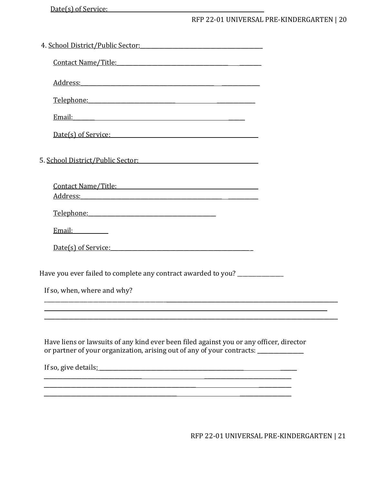Date(s) of Service:

# RFP 22-01 UNIVERSAL PRE-KINDERGARTEN | 20

| 4. School District/Public Sector:                                                                                                                                                                                                                                                                                                                                                                                   |
|---------------------------------------------------------------------------------------------------------------------------------------------------------------------------------------------------------------------------------------------------------------------------------------------------------------------------------------------------------------------------------------------------------------------|
|                                                                                                                                                                                                                                                                                                                                                                                                                     |
| Address: Address: Address: Address: Address: Address: Address: Address: Address: Address: Address: Address: Address: Address: Address: Address: Address: Address: Address: Address: Address: Address: Address: Address: Addres                                                                                                                                                                                      |
| Telephone: Telephone:                                                                                                                                                                                                                                                                                                                                                                                               |
|                                                                                                                                                                                                                                                                                                                                                                                                                     |
| Date(s) of Service: Date(s) of Service:                                                                                                                                                                                                                                                                                                                                                                             |
| 5. School District/Public Sector: The Contract of the Contract of the Contract of the Contract of the Contract of the Contract of the Contract of the Contract of the Contract of the Contract of the Contract of the Contract                                                                                                                                                                                      |
| Contact Name/Title: Contact Name/Title:<br>Address: Andress: Address: Address: Address: Address: Address: Address: Address: Address: Address: Address: Address: Address: Address: Address: Address: Address: Address: Address: Address: Address: Address: Address: Addres                                                                                                                                           |
| Telephone: Telephone:                                                                                                                                                                                                                                                                                                                                                                                               |
|                                                                                                                                                                                                                                                                                                                                                                                                                     |
| Date(s) of Service:                                                                                                                                                                                                                                                                                                                                                                                                 |
| Have you ever failed to complete any contract awarded to you? _____________                                                                                                                                                                                                                                                                                                                                         |
| If so, when, where and why?                                                                                                                                                                                                                                                                                                                                                                                         |
|                                                                                                                                                                                                                                                                                                                                                                                                                     |
| Have liens or lawsuits of any kind ever been filed against you or any officer, director<br>or partner of your organization, arising out of any of your contracts: _________<br>If so, give details: <u>contract the set of the set of the set of the set of the set of the set of the set of the set of the set of the set of the set of the set of the set of the set of the set of the set of the set of the </u> |
|                                                                                                                                                                                                                                                                                                                                                                                                                     |
|                                                                                                                                                                                                                                                                                                                                                                                                                     |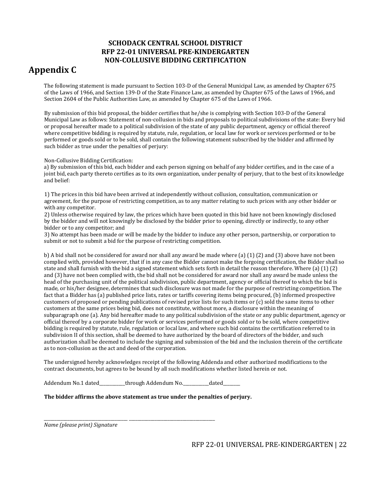#### **SCHODACK CENTRAL SCHOOL DISTRICT RFP 22-01 UNIVERSAL PRE-KINDERGARTEN NON-COLLUSIVE BIDDING CERTIFICATION**

# **Appendix C**

The following statement is made pursuant to Section 103-D of the General Municipal Law, as amended by Chapter 675 of the Laws of 1966, and Section 139-D of the State Finance Law, as amended by Chapter 675 of the Laws of 1966, and Section 2604 of the Public Authorities Law, as amended by Chapter 675 of the Laws of 1966.

By submission of this bid proposal, the bidder certifies that he/she is complying with Section 103-D of the General Municipal Law as follows: Statement of non-collusion in bids and proposals to political subdivisions of the state: Every bid or proposal hereafter made to a political subdivision of the state of any public department, agency or official thereof where competitive bidding is required by statute, rule, regulation, or local law for work or services performed or to be performed or goods sold or to be sold, shall contain the following statement subscribed by the bidder and affirmed by such bidder as true under the penalties of perjury:

Non-Collusive Bidding Certification:

a) By submission of this bid, each bidder and each person signing on behalf of any bidder certifies, and in the case of a joint bid, each party thereto certifies as to its own organization, under penalty of perjury, that to the best of its knowledge and belief:

1) The prices in this bid have been arrived at independently without collusion, consultation, communication or agreement, for the purpose of restricting competition, as to any matter relating to such prices with any other bidder or with any competitor.

2) Unless otherwise required by law, the prices which have been quoted in this bid have not been knowingly disclosed by the bidder and will not knowingly be disclosed by the bidder prior to opening, directly or indirectly, to any other bidder or to any competitor; and

3) No attempt has been made or will be made by the bidder to induce any other person, partnership, or corporation to submit or not to submit a bid for the purpose of restricting competition.

b) A bid shall not be considered for award nor shall any award be made where (a) (1) (2) and (3) above have not been complied with, provided however, that if in any case the Bidder cannot make the forgoing certification, the Bidder shall so state and shall furnish with the bid a signed statement which sets forth in detail the reason therefore. Where (a) (1) (2) and (3) have not been complied with, the bid shall not be considered for award nor shall any award be made unless the head of the purchasing unit of the political subdivision, public department, agency or official thereof to which the bid is made, or his/her designee, determines that such disclosure was not made for the purpose of restricting competition. The fact that a Bidder has (a) published price lists, rates or tariffs covering items being procured, (b) informed prospective customers of proposed or pending publications of revised price lists for such items or (c) sold the same items to other customers at the same prices being bid, does not constitute, without more, a disclosure within the meaning of subparagraph one (a). Any bid hereafter made to any political subdivision of the state or any public department, agency or official thereof by a corporate bidder for work or services performed or goods sold or to be sold, where competitive bidding is required by statute, rule, regulation or local law, and where such bid contains the certification referred to in subdivision II of this section, shall be deemed to have authorized by the board of directors of the bidder, and such authorization shall be deemed to include the signing and submission of the bid and the inclusion therein of the certificate as to non-collusion as the act and deed of the corporation.

The undersigned hereby acknowledges receipt of the following Addenda and other authorized modifications to the contract documents, but agrees to be bound by all such modifications whether listed herein or not.

Addendum No.1 dated\_\_\_\_\_\_\_\_\_through Addendum No.\_\_\_\_\_\_\_\_\_dated\_\_\_

**The bidder affirms the above statement as true under the penalties of perjury.** 

\_\_\_\_\_\_\_\_\_\_\_\_\_\_\_\_\_\_\_\_\_\_\_\_\_\_\_\_\_\_\_\_\_\_\_\_\_\_\_ \_\_\_\_\_\_\_\_\_\_\_\_\_\_\_\_\_\_\_\_\_\_\_\_\_\_\_\_\_\_\_\_\_\_\_\_\_\_\_\_ *Name (please print) Signature*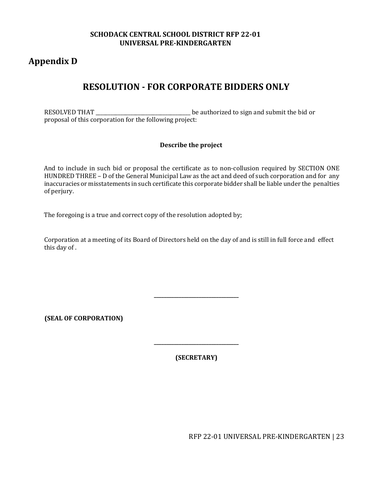#### **SCHODACK CENTRAL SCHOOL DISTRICT RFP 22-01 UNIVERSAL PRE-KINDERGARTEN**

# **Appendix D**

# **RESOLUTION - FOR CORPORATE BIDDERS ONLY**

RESOLVED THAT \_\_\_\_\_\_\_\_\_\_\_\_\_\_\_\_\_\_\_\_\_\_\_\_\_\_\_\_\_\_\_\_\_\_\_\_\_\_ be authorized to sign and submit the bid or proposal of this corporation for the following project:

#### **Describe the project**

And to include in such bid or proposal the certificate as to non-collusion required by SECTION ONE HUNDRED THREE – D of the General Municipal Law as the act and deed of such corporation and for any inaccuracies or misstatements in such certificate this corporate bidder shall be liable under the penalties of perjury.

The foregoing is a true and correct copy of the resolution adopted by;

Corporation at a meeting of its Board of Directors held on the day of and is still in full force and effect this day of .

**(SEAL OF CORPORATION)** 

**(SECRETARY)**

**\_\_\_\_\_\_\_\_\_\_\_\_\_\_\_\_\_\_\_\_\_\_\_\_\_\_\_\_\_\_\_\_\_\_** 

**\_\_\_\_\_\_\_\_\_\_\_\_\_\_\_\_\_\_\_\_\_\_\_\_\_\_\_\_\_\_\_\_\_\_**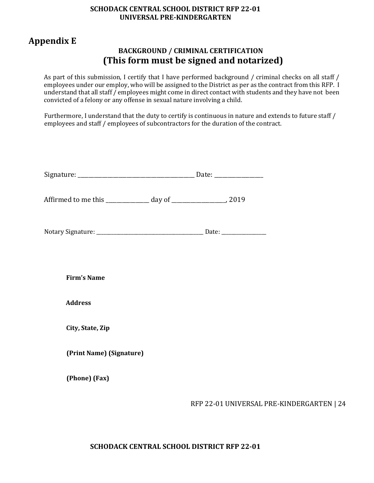#### **SCHODACK CENTRAL SCHOOL DISTRICT RFP 22-01 UNIVERSAL PRE-KINDERGARTEN**

# **Appendix E**

# **BACKGROUND / CRIMINAL CERTIFICATION (This form must be signed and notarized)**

As part of this submission, I certify that I have performed background / criminal checks on all staff / employees under our employ, who will be assigned to the District as per as the contract from this RFP. I understand that all staff / employees might come in direct contact with students and they have not been convicted of a felony or any offense in sexual nature involving a child.

Furthermore, I understand that the duty to certify is continuous in nature and extends to future staff / employees and staff / employees of subcontractors for the duration of the contract.

| Affirmed to me this _____________ day of ______________________, 2019 |                                           |
|-----------------------------------------------------------------------|-------------------------------------------|
|                                                                       |                                           |
| <b>Firm's Name</b>                                                    |                                           |
| <b>Address</b>                                                        |                                           |
| City, State, Zip                                                      |                                           |
| (Print Name) (Signature)                                              |                                           |
| (Phone) (Fax)                                                         |                                           |
|                                                                       | RFP 22-01 UNIVERSAL PRE-KINDERGARTEN   24 |

# **SCHODACK CENTRAL SCHOOL DISTRICT RFP 22-01**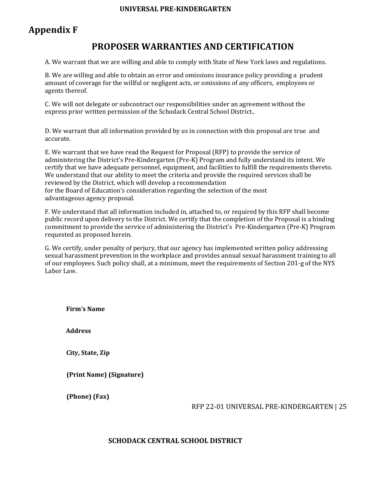#### **UNIVERSAL PRE-KINDERGARTEN**

# **Appendix F**

# **PROPOSER WARRANTIES AND CERTIFICATION**

A. We warrant that we are willing and able to comply with State of New York laws and regulations.

B. We are willing and able to obtain an error and omissions insurance policy providing a prudent amount of coverage for the willful or negligent acts, or omissions of any officers, employees or agents thereof.

C. We will not delegate or subcontract our responsibilities under an agreement without the express prior written permission of the Schodack Central School District..

D. We warrant that all information provided by us in connection with this proposal are true and accurate.

E. We warrant that we have read the Request for Proposal (RFP) to provide the service of administering the District's Pre-Kindergarten (Pre-K) Program and fully understand its intent. We certify that we have adequate personnel, equipment, and facilities to fulfill the requirements thereto. We understand that our ability to meet the criteria and provide the required services shall be reviewed by the District, which will develop a recommendation for the Board of Education's consideration regarding the selection of the most advantageous agency proposal.

F. We understand that all information included in, attached to, or required by this RFP shall become public record upon delivery to the District. We certify that the completion of the Proposal is a binding commitment to provide the service of administering the District's Pre-Kindergarten (Pre-K) Program requested as proposed herein.

G. We certify, under penalty of perjury, that our agency has implemented written policy addressing sexual harassment prevention in the workplace and provides annual sexual harassment training to all of our employees. Such policy shall, at a minimum, meet the requirements of Section 201-g of the NYS Labor Law.

**Firm's Name** 

**Address** 

**City, State, Zip** 

**(Print Name) (Signature)** 

**(Phone) (Fax)**

RFP 22-01 UNIVERSAL PRE-KINDERGARTEN | 25

#### **SCHODACK CENTRAL SCHOOL DISTRICT**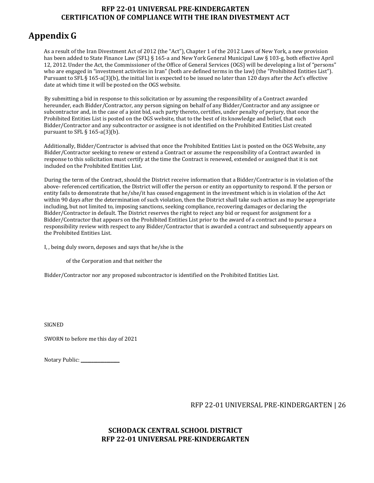#### **RFP 22-01 UNIVERSAL PRE-KINDERGARTEN CERTIFICATION OF COMPLIANCE WITH THE IRAN DIVESTMENT ACT**

# **Appendix G**

As a result of the Iran Divestment Act of 2012 (the "Act"), Chapter 1 of the 2012 Laws of New York, a new provision has been added to State Finance Law (SFL) § 165-a and New York General Municipal Law § 103-g, both effective April 12, 2012. Under the Act, the Commissioner of the Office of General Services (OGS) will be developing a list of "persons" who are engaged in "investment activities in Iran" (both are defined terms in the law) (the "Prohibited Entities List"). Pursuant to SFL § 165-a(3)(b), the initial list is expected to be issued no later than 120 days after the Act's effective date at which time it will be posted on the OGS website.

By submitting a bid in response to this solicitation or by assuming the responsibility of a Contract awarded hereunder, each Bidder/Contractor, any person signing on behalf of any Bidder/Contractor and any assignee or subcontractor and, in the case of a joint bid, each party thereto, certifies, under penalty of perjury, that once the Prohibited Entities List is posted on the OGS website, that to the best of its knowledge and belief, that each Bidder/Contractor and any subcontractor or assignee is not identified on the Prohibited Entities List created pursuant to SFL  $\S$  165-a(3)(b).

Additionally, Bidder/Contractor is advised that once the Prohibited Entities List is posted on the OGS Website, any Bidder/Contractor seeking to renew or extend a Contract or assume the responsibility of a Contract awarded in response to this solicitation must certify at the time the Contract is renewed, extended or assigned that it is not included on the Prohibited Entities List.

During the term of the Contract, should the District receive information that a Bidder/Contractor is in violation of the above- referenced certification, the District will offer the person or entity an opportunity to respond. If the person or entity fails to demonstrate that he/she/it has ceased engagement in the investment which is in violation of the Act within 90 days after the determination of such violation, then the District shall take such action as may be appropriate including, but not limited to, imposing sanctions, seeking compliance, recovering damages or declaring the Bidder/Contractor in default. The District reserves the right to reject any bid or request for assignment for a Bidder/Contractor that appears on the Prohibited Entities List prior to the award of a contract and to pursue a responsibility review with respect to any Bidder/Contractor that is awarded a contract and subsequently appears on the Prohibited Entities List.

I, , being duly sworn, deposes and says that he/she is the

of the Corporation and that neither the

Bidder/Contractor nor any proposed subcontractor is identified on the Prohibited Entities List.

SIGNED

SWORN to before me this day of 2021

| Notary Public: |  |
|----------------|--|
|                |  |

RFP 22-01 UNIVERSAL PRE-KINDERGARTEN | 26

#### **SCHODACK CENTRAL SCHOOL DISTRICT RFP 22-01 UNIVERSAL PRE-KINDERGARTEN**